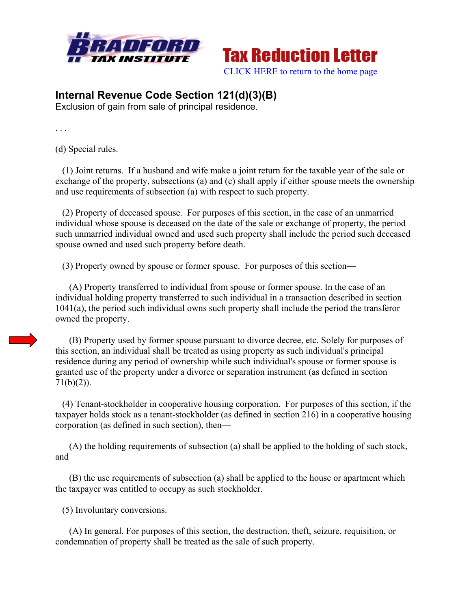



## **Internal Revenue Code Section 121(d)(3)(B)**

Exclusion of gain from sale of principal residence.

. . .

(d) Special rules.

 (1) Joint returns. If a husband and wife make a joint return for the taxable year of the sale or exchange of the property, subsections (a) and (c) shall apply if either spouse meets the ownership and use requirements of subsection (a) with respect to such property.

 (2) Property of deceased spouse. For purposes of this section, in the case of an unmarried individual whose spouse is deceased on the date of the sale or exchange of property, the period such unmarried individual owned and used such property shall include the period such deceased spouse owned and used such property before death.

(3) Property owned by spouse or former spouse. For purposes of this section—

 (A) Property transferred to individual from spouse or former spouse. In the case of an individual holding property transferred to such individual in a transaction described in section 1041(a), the period such individual owns such property shall include the period the transferor owned the property.

 (B) Property used by former spouse pursuant to divorce decree, etc. Solely for purposes of this section, an individual shall be treated as using property as such individual's principal residence during any period of ownership while such individual's spouse or former spouse is granted use of the property under a divorce or separation instrument (as defined in section  $71(b)(2)$ ).

 (4) Tenant-stockholder in cooperative housing corporation. For purposes of this section, if the taxpayer holds stock as a tenant-stockholder (as defined in section 216) in a cooperative housing corporation (as defined in such section), then—

 (A) the holding requirements of subsection (a) shall be applied to the holding of such stock, and

 (B) the use requirements of subsection (a) shall be applied to the house or apartment which the taxpayer was entitled to occupy as such stockholder.

(5) Involuntary conversions.

 (A) In general. For purposes of this section, the destruction, theft, seizure, requisition, or condemnation of property shall be treated as the sale of such property.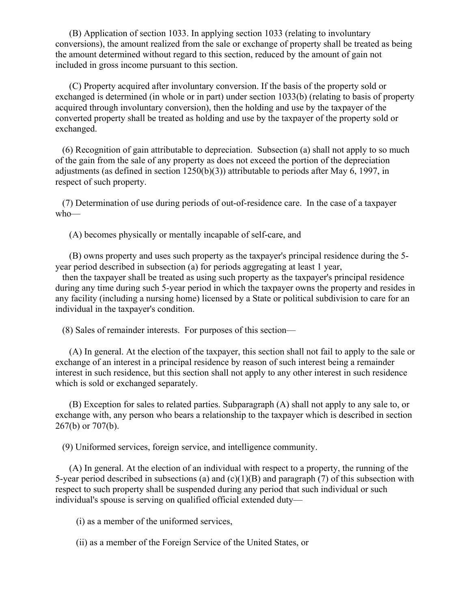(B) Application of section 1033. In applying section 1033 (relating to involuntary conversions), the amount realized from the sale or exchange of property shall be treated as being the amount determined without regard to this section, reduced by the amount of gain not included in gross income pursuant to this section.

 (C) Property acquired after involuntary conversion. If the basis of the property sold or exchanged is determined (in whole or in part) under section 1033(b) (relating to basis of property acquired through involuntary conversion), then the holding and use by the taxpayer of the converted property shall be treated as holding and use by the taxpayer of the property sold or exchanged.

 (6) Recognition of gain attributable to depreciation. Subsection (a) shall not apply to so much of the gain from the sale of any property as does not exceed the portion of the depreciation adjustments (as defined in section  $1250(b)(3)$ ) attributable to periods after May 6, 1997, in respect of such property.

 (7) Determination of use during periods of out-of-residence care. In the case of a taxpayer who—

(A) becomes physically or mentally incapable of self-care, and

 (B) owns property and uses such property as the taxpayer's principal residence during the 5 year period described in subsection (a) for periods aggregating at least 1 year,

 then the taxpayer shall be treated as using such property as the taxpayer's principal residence during any time during such 5-year period in which the taxpayer owns the property and resides in any facility (including a nursing home) licensed by a State or political subdivision to care for an individual in the taxpayer's condition.

(8) Sales of remainder interests. For purposes of this section—

 (A) In general. At the election of the taxpayer, this section shall not fail to apply to the sale or exchange of an interest in a principal residence by reason of such interest being a remainder interest in such residence, but this section shall not apply to any other interest in such residence which is sold or exchanged separately.

 (B) Exception for sales to related parties. Subparagraph (A) shall not apply to any sale to, or exchange with, any person who bears a relationship to the taxpayer which is described in section 267(b) or 707(b).

(9) Uniformed services, foreign service, and intelligence community.

 (A) In general. At the election of an individual with respect to a property, the running of the 5-year period described in subsections (a) and (c)(1)(B) and paragraph (7) of this subsection with respect to such property shall be suspended during any period that such individual or such individual's spouse is serving on qualified official extended duty—

(i) as a member of the uniformed services,

(ii) as a member of the Foreign Service of the United States, or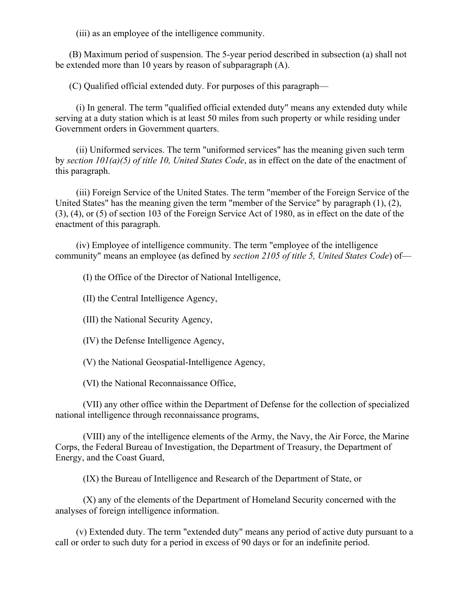(iii) as an employee of the intelligence community.

 (B) Maximum period of suspension. The 5-year period described in subsection (a) shall not be extended more than 10 years by reason of subparagraph (A).

(C) Qualified official extended duty. For purposes of this paragraph—

 (i) In general. The term "qualified official extended duty" means any extended duty while serving at a duty station which is at least 50 miles from such property or while residing under Government orders in Government quarters.

 (ii) Uniformed services. The term "uniformed services" has the meaning given such term by *section 101(a)(5) of title 10, United States Code*, as in effect on the date of the enactment of this paragraph.

 (iii) Foreign Service of the United States. The term "member of the Foreign Service of the United States" has the meaning given the term "member of the Service" by paragraph (1), (2), (3), (4), or (5) of section 103 of the Foreign Service Act of 1980, as in effect on the date of the enactment of this paragraph.

 (iv) Employee of intelligence community. The term "employee of the intelligence community" means an employee (as defined by *section 2105 of title 5, United States Code*) of—

(I) the Office of the Director of National Intelligence,

(II) the Central Intelligence Agency,

(III) the National Security Agency,

(IV) the Defense Intelligence Agency,

(V) the National Geospatial-Intelligence Agency,

(VI) the National Reconnaissance Office,

 (VII) any other office within the Department of Defense for the collection of specialized national intelligence through reconnaissance programs,

 (VIII) any of the intelligence elements of the Army, the Navy, the Air Force, the Marine Corps, the Federal Bureau of Investigation, the Department of Treasury, the Department of Energy, and the Coast Guard,

(IX) the Bureau of Intelligence and Research of the Department of State, or

 (X) any of the elements of the Department of Homeland Security concerned with the analyses of foreign intelligence information.

 (v) Extended duty. The term "extended duty" means any period of active duty pursuant to a call or order to such duty for a period in excess of 90 days or for an indefinite period.